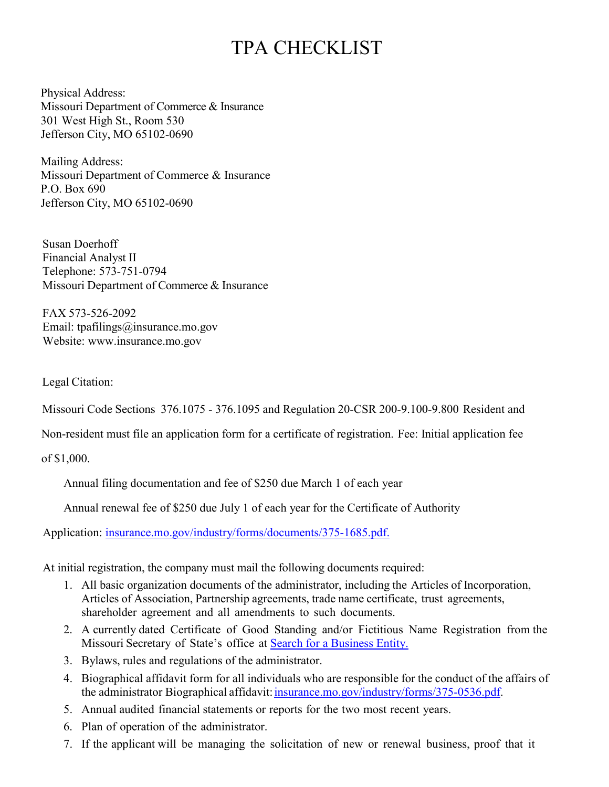## TPA CHECKLIST

Physical Address: Missouri Department of Commerce & Insurance 301 West High St., Room 530 Jefferson City, MO 65102-0690

Mailing Address: Missouri Department of Commerce & Insurance P.O. Box 690 Jefferson City, MO 65102-0690

Susan Doerhoff Financial Analyst II Telephone: 573-751-0794 Missouri Department of Commerce & Insurance

FAX 573-526-2092 Email: [tpafilings@insurance.mo.gov](mailto:tpafilings@insurance.mo.gov) [Website: www.insurance.mo.gov](http://www.insurance.mo.gov/)

Legal Citation:

Missouri Code Sections 376.1075 - 376.1095 and Regulation 20-CSR 200-9.100-9.800 Resident and

Non-resident must file an application form for a certificate of registration. Fee: Initial application fee

of \$1,000.

Annual filing documentation and fee of \$250 due March 1 of each year

Annual renewal fee of \$250 due July 1 of each year for the Certificate of Authority

Application: [insurance.mo.gov/industry/forms/documents/375-1685.pdf.](http://insurance.mo.gov/industry/forms/documents/375-1685.pdf)

At initial registration, the company must mail the following documents required:

- 1. All basic organization documents of the administrator, including the Articles of Incorporation, Articles of Association, Partnership agreements, trade name certificate, trust agreements, shareholder agreement and all amendments to such documents.
- 2. A currently dated Certificate of Good Standing and/or Fictitious Name Registration from the Missouri Secretary of State's office at **Search for a Business Entity.**
- 3. Bylaws, rules and regulations of the administrator.
- 4. Biographical affidavit form for all individuals who are responsible for the conduct of the affairs of the administrator Biographical affidavit[: insurance.mo.gov/industry/forms/375-0536.pdf.](http://www.insurance.mo.gov/industry/forms/375-0536.pdf)
- 5. Annual audited financial statements or reports for the two most recent years.
- 6. Plan of operation of the administrator.
- 7. If the applicant will be managing the solicitation of new or renewal business, proof that it